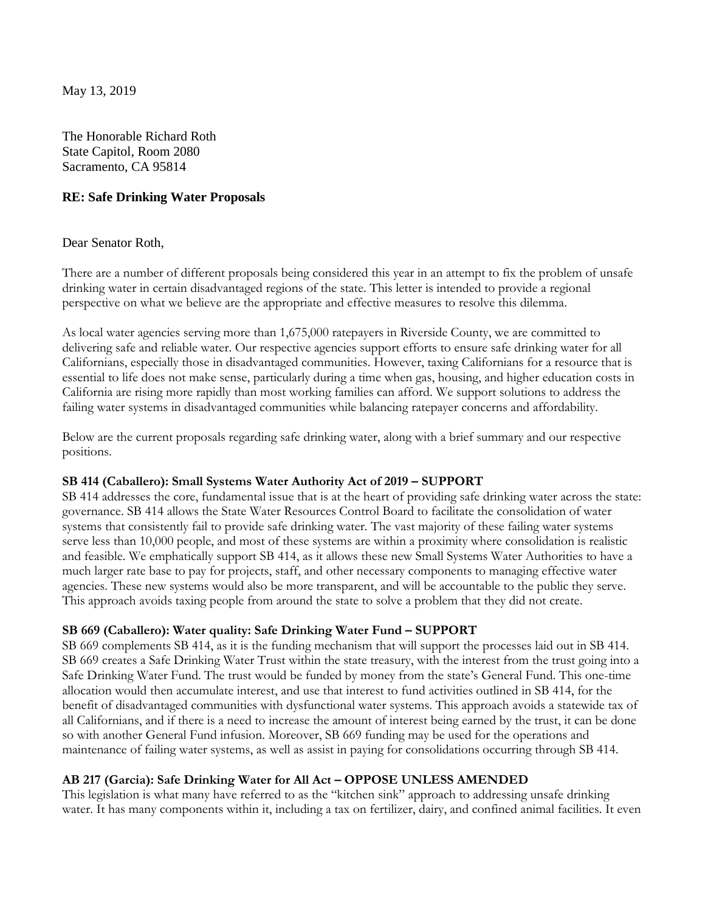May 13, 2019

The Honorable Richard Roth State Capitol, Room 2080 Sacramento, CA 95814

### **RE: Safe Drinking Water Proposals**

### Dear Senator Roth,

There are a number of different proposals being considered this year in an attempt to fix the problem of unsafe drinking water in certain disadvantaged regions of the state. This letter is intended to provide a regional perspective on what we believe are the appropriate and effective measures to resolve this dilemma.

As local water agencies serving more than 1,675,000 ratepayers in Riverside County, we are committed to delivering safe and reliable water. Our respective agencies support efforts to ensure safe drinking water for all Californians, especially those in disadvantaged communities. However, taxing Californians for a resource that is essential to life does not make sense, particularly during a time when gas, housing, and higher education costs in California are rising more rapidly than most working families can afford. We support solutions to address the failing water systems in disadvantaged communities while balancing ratepayer concerns and affordability.

Below are the current proposals regarding safe drinking water, along with a brief summary and our respective positions.

### **SB 414 (Caballero): Small Systems Water Authority Act of 2019 – SUPPORT**

SB 414 addresses the core, fundamental issue that is at the heart of providing safe drinking water across the state: governance. SB 414 allows the State Water Resources Control Board to facilitate the consolidation of water systems that consistently fail to provide safe drinking water. The vast majority of these failing water systems serve less than 10,000 people, and most of these systems are within a proximity where consolidation is realistic and feasible. We emphatically support SB 414, as it allows these new Small Systems Water Authorities to have a much larger rate base to pay for projects, staff, and other necessary components to managing effective water agencies. These new systems would also be more transparent, and will be accountable to the public they serve. This approach avoids taxing people from around the state to solve a problem that they did not create.

# **SB 669 (Caballero): Water quality: Safe Drinking Water Fund – SUPPORT**

SB 669 complements SB 414, as it is the funding mechanism that will support the processes laid out in SB 414. SB 669 creates a Safe Drinking Water Trust within the state treasury, with the interest from the trust going into a Safe Drinking Water Fund. The trust would be funded by money from the state's General Fund. This one-time allocation would then accumulate interest, and use that interest to fund activities outlined in SB 414, for the benefit of disadvantaged communities with dysfunctional water systems. This approach avoids a statewide tax of all Californians, and if there is a need to increase the amount of interest being earned by the trust, it can be done so with another General Fund infusion. Moreover, SB 669 funding may be used for the operations and maintenance of failing water systems, as well as assist in paying for consolidations occurring through SB 414.

# **AB 217 (Garcia): Safe Drinking Water for All Act – OPPOSE UNLESS AMENDED**

This legislation is what many have referred to as the "kitchen sink" approach to addressing unsafe drinking water. It has many components within it, including a tax on fertilizer, dairy, and confined animal facilities. It even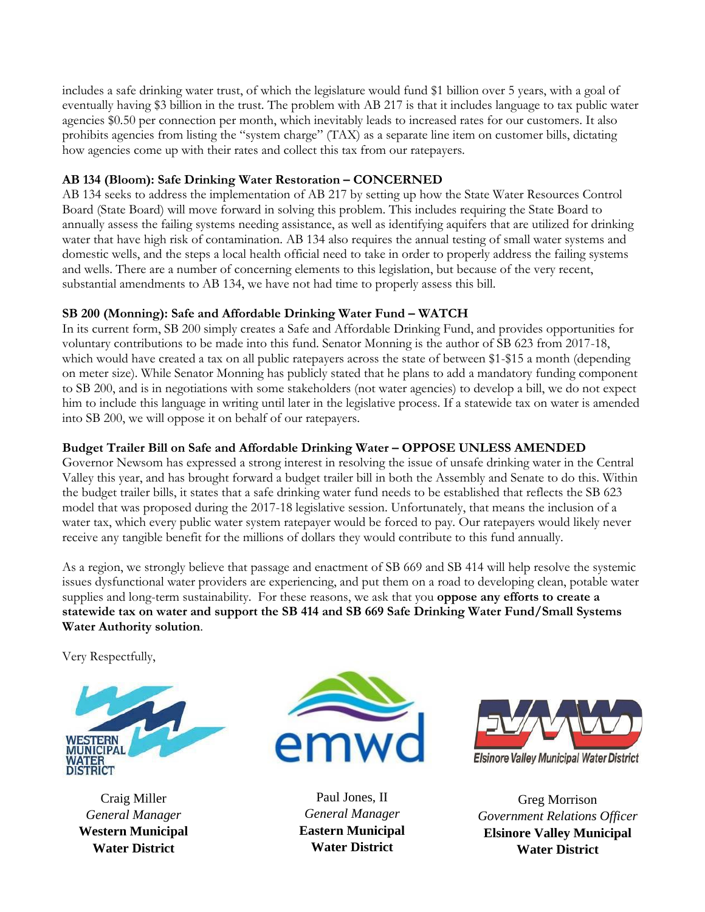includes a safe drinking water trust, of which the legislature would fund \$1 billion over 5 years, with a goal of eventually having \$3 billion in the trust. The problem with AB 217 is that it includes language to tax public water agencies \$0.50 per connection per month, which inevitably leads to increased rates for our customers. It also prohibits agencies from listing the "system charge" (TAX) as a separate line item on customer bills, dictating how agencies come up with their rates and collect this tax from our ratepayers.

# **AB 134 (Bloom): Safe Drinking Water Restoration – CONCERNED**

AB 134 seeks to address the implementation of AB 217 by setting up how the State Water Resources Control Board (State Board) will move forward in solving this problem. This includes requiring the State Board to annually assess the failing systems needing assistance, as well as identifying aquifers that are utilized for drinking water that have high risk of contamination. AB 134 also requires the annual testing of small water systems and domestic wells, and the steps a local health official need to take in order to properly address the failing systems and wells. There are a number of concerning elements to this legislation, but because of the very recent, substantial amendments to AB 134, we have not had time to properly assess this bill.

# **SB 200 (Monning): Safe and Affordable Drinking Water Fund – WATCH**

In its current form, SB 200 simply creates a Safe and Affordable Drinking Fund, and provides opportunities for voluntary contributions to be made into this fund. Senator Monning is the author of SB 623 from 2017-18, which would have created a tax on all public ratepayers across the state of between \$1-\$15 a month (depending on meter size). While Senator Monning has publicly stated that he plans to add a mandatory funding component to SB 200, and is in negotiations with some stakeholders (not water agencies) to develop a bill, we do not expect him to include this language in writing until later in the legislative process. If a statewide tax on water is amended into SB 200, we will oppose it on behalf of our ratepayers.

# **Budget Trailer Bill on Safe and Affordable Drinking Water – OPPOSE UNLESS AMENDED**

Governor Newsom has expressed a strong interest in resolving the issue of unsafe drinking water in the Central Valley this year, and has brought forward a budget trailer bill in both the Assembly and Senate to do this. Within the budget trailer bills, it states that a safe drinking water fund needs to be established that reflects the SB 623 model that was proposed during the 2017-18 legislative session. Unfortunately, that means the inclusion of a water tax, which every public water system ratepayer would be forced to pay. Our ratepayers would likely never receive any tangible benefit for the millions of dollars they would contribute to this fund annually.

As a region, we strongly believe that passage and enactment of SB 669 and SB 414 will help resolve the systemic issues dysfunctional water providers are experiencing, and put them on a road to developing clean, potable water supplies and long-term sustainability. For these reasons, we ask that you **oppose any efforts to create a statewide tax on water and support the SB 414 and SB 669 Safe Drinking Water Fund/Small Systems Water Authority solution**.

Very Respectfully,



Craig Miller *General Manager* **Western Municipal Water District**



Paul Jones, II *General Manager* **Eastern Municipal Water District**



Greg Morrison *Government Relations Officer* **Elsinore Valley Municipal Water District**